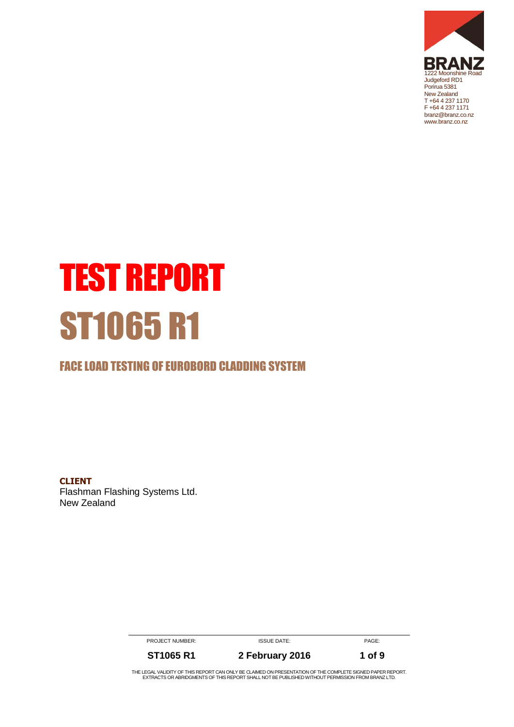

# TEST REPORT ST1065 R1

#### FACE LOAD TESTING OF EUROBORD CLADDING SYSTEM

**CLIENT** Flashman Flashing Systems Ltd. New Zealand

> PROJECT NUMBER: ISSUE DATE: ISSUE DATE: **ST1065 R1 2 February 2016 1 of 9**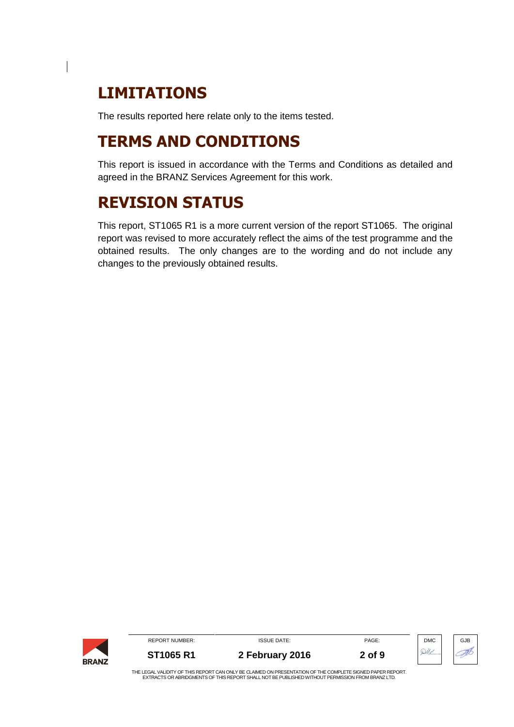# **LIMITATIONS**

The results reported here relate only to the items tested.

# **TERMS AND CONDITIONS**

This report is issued in accordance with the Terms and Conditions as detailed and agreed in the BRANZ Services Agreement for this work.

# **REVISION STATUS**

This report, ST1065 R1 is a more current version of the report ST1065. The original report was revised to more accurately reflect the aims of the test programme and the obtained results. The only changes are to the wording and do not include any changes to the previously obtained results.

| <b>BRANZ</b> | <b>REPORT NUMBER:</b> | <b>ISSUE DATE:</b>                                                                                       | PAGE:  | <b>DMC</b> | GJB |
|--------------|-----------------------|----------------------------------------------------------------------------------------------------------|--------|------------|-----|
|              | ST1065 R1             | 2 February 2016                                                                                          | 2 of 9 |            |     |
|              |                       | THE LEAN LINE IDEN AFT HA BEBART AN LOUISIBE OL MUEB ON BBEAFITITION AFT IF AOUBLETE OIQUEB BAREB BEBART |        |            |     |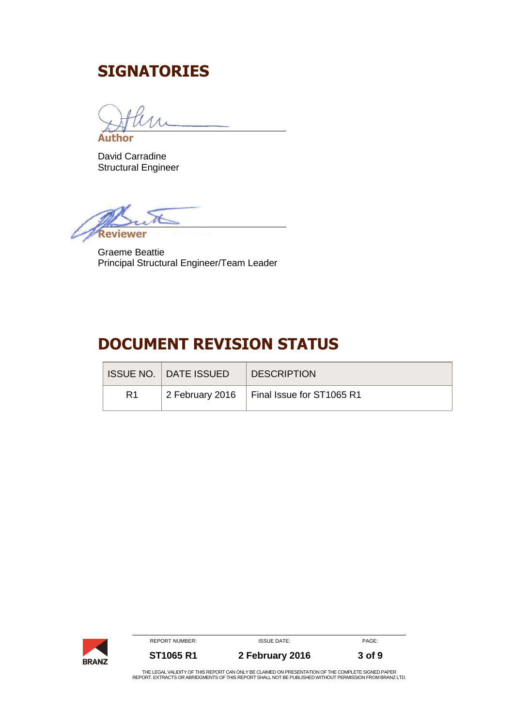# **SIGNATORIES**

**Author**

David Carradine Structural Engineer

**Reviewer** 

Graeme Beattie Principal Structural Engineer/Team Leader

# **DOCUMENT REVISION STATUS**

|                | ISSUE NO. I DATE ISSUEDI | <b>DESCRIPTION</b>                          |
|----------------|--------------------------|---------------------------------------------|
| R <sub>1</sub> |                          | 2 February 2016   Final Issue for ST1065 R1 |

|              | <b>REPORT NUMBER:</b> | <b>ISSUE DATE:</b>                                                                                                                                                                                             | PAGE:  |
|--------------|-----------------------|----------------------------------------------------------------------------------------------------------------------------------------------------------------------------------------------------------------|--------|
| <b>BRANZ</b> | <b>ST1065 R1</b>      | 2 February 2016                                                                                                                                                                                                | 3 of 9 |
|              |                       | THE LEGAL VALIDITY OF THIS REPORT CAN ONLY BE CLAIMED ON PRESENTATION OF THE COMPLETE SIGNED PAPER<br>REPORT. EXTRACTS OR ABRIDGMENTS OF THIS REPORT SHALL NOT BE PUBLISHED WITHOUT PERMISSION FROM BRANZ LTD. |        |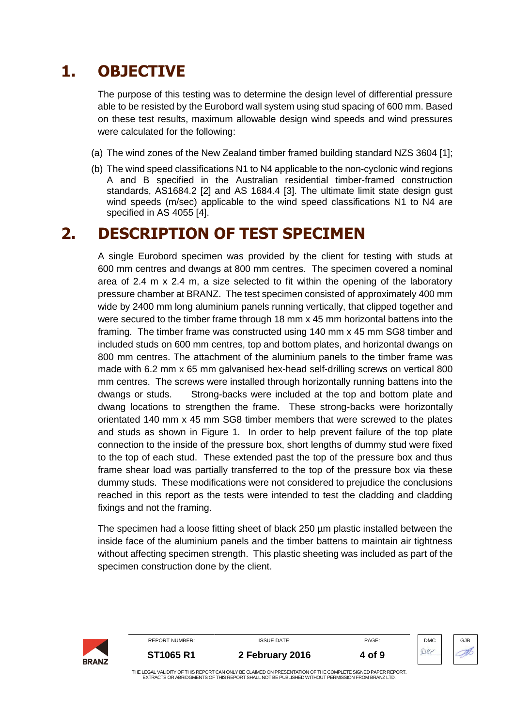# **1. OBJECTIVE**

The purpose of this testing was to determine the design level of differential pressure able to be resisted by the Eurobord wall system using stud spacing of 600 mm. Based on these test results, maximum allowable design wind speeds and wind pressures were calculated for the following:

- (a) The wind zones of the New Zealand timber framed building standard NZS 3604 [1];
- (b) The wind speed classifications N1 to N4 applicable to the non-cyclonic wind regions A and B specified in the Australian residential timber-framed construction standards, AS1684.2 [2] and AS 1684.4 [3]. The ultimate limit state design gust wind speeds (m/sec) applicable to the wind speed classifications N1 to N4 are specified in AS 4055 [4].

### **2. DESCRIPTION OF TEST SPECIMEN**

A single Eurobord specimen was provided by the client for testing with studs at 600 mm centres and dwangs at 800 mm centres. The specimen covered a nominal area of 2.4 m x 2.4 m, a size selected to fit within the opening of the laboratory pressure chamber at BRANZ. The test specimen consisted of approximately 400 mm wide by 2400 mm long aluminium panels running vertically, that clipped together and were secured to the timber frame through 18 mm x 45 mm horizontal battens into the framing. The timber frame was constructed using 140 mm x 45 mm SG8 timber and included studs on 600 mm centres, top and bottom plates, and horizontal dwangs on 800 mm centres. The attachment of the aluminium panels to the timber frame was made with 6.2 mm x 65 mm galvanised hex-head self-drilling screws on vertical 800 mm centres. The screws were installed through horizontally running battens into the dwangs or studs. Strong-backs were included at the top and bottom plate and dwang locations to strengthen the frame. These strong-backs were horizontally orientated 140 mm x 45 mm SG8 timber members that were screwed to the plates and studs as shown in Figure 1. In order to help prevent failure of the top plate connection to the inside of the pressure box, short lengths of dummy stud were fixed to the top of each stud. These extended past the top of the pressure box and thus frame shear load was partially transferred to the top of the pressure box via these dummy studs. These modifications were not considered to prejudice the conclusions reached in this report as the tests were intended to test the cladding and cladding fixings and not the framing.

The specimen had a loose fitting sheet of black 250 µm plastic installed between the inside face of the aluminium panels and the timber battens to maintain air tightness without affecting specimen strength. This plastic sheeting was included as part of the specimen construction done by the client.

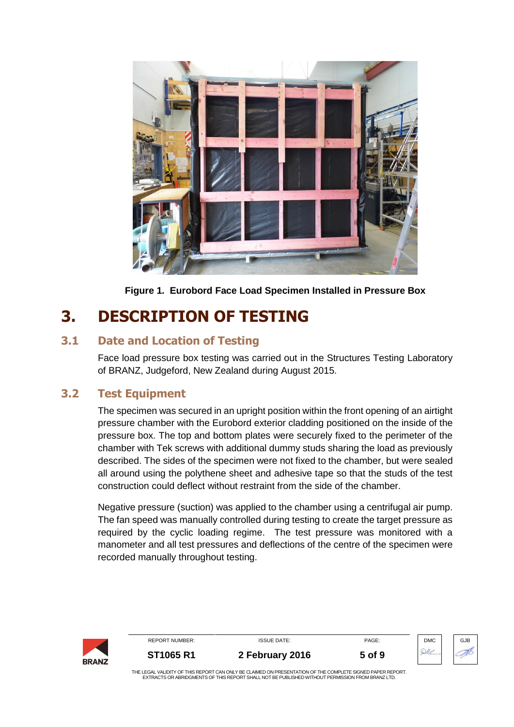

**Figure 1. Eurobord Face Load Specimen Installed in Pressure Box**

# **3. DESCRIPTION OF TESTING**

#### **3.1 Date and Location of Testing**

Face load pressure box testing was carried out in the Structures Testing Laboratory of BRANZ, Judgeford, New Zealand during August 2015.

#### **3.2 Test Equipment**

The specimen was secured in an upright position within the front opening of an airtight pressure chamber with the Eurobord exterior cladding positioned on the inside of the pressure box. The top and bottom plates were securely fixed to the perimeter of the chamber with Tek screws with additional dummy studs sharing the load as previously described. The sides of the specimen were not fixed to the chamber, but were sealed all around using the polythene sheet and adhesive tape so that the studs of the test construction could deflect without restraint from the side of the chamber.

Negative pressure (suction) was applied to the chamber using a centrifugal air pump. The fan speed was manually controlled during testing to create the target pressure as required by the cyclic loading regime. The test pressure was monitored with a manometer and all test pressures and deflections of the centre of the specimen were recorded manually throughout testing.

| <b>BRANZ</b> | <b>REPORT NUMBER:</b>                                                                                                                                                                                          | <b>ISSUE DATE:</b> | PAGE:  | <b>DMC</b> | GJB |
|--------------|----------------------------------------------------------------------------------------------------------------------------------------------------------------------------------------------------------------|--------------------|--------|------------|-----|
|              | ST1065 R1                                                                                                                                                                                                      | 2 February 2016    | 5 of 9 |            |     |
|              | THE LEGAL VALIDITY OF THIS REPORT CAN ONLY BE CLAIMED ON PRESENTATION OF THE COMPLETE SIGNED PAPER REPORT.<br>EXTRACTS OR ABRIDGMENTS OF THIS REPORT SHALL NOT BE PUBLISHED WITHOUT PERMISSION FROM BRANZ LTD. |                    |        |            |     |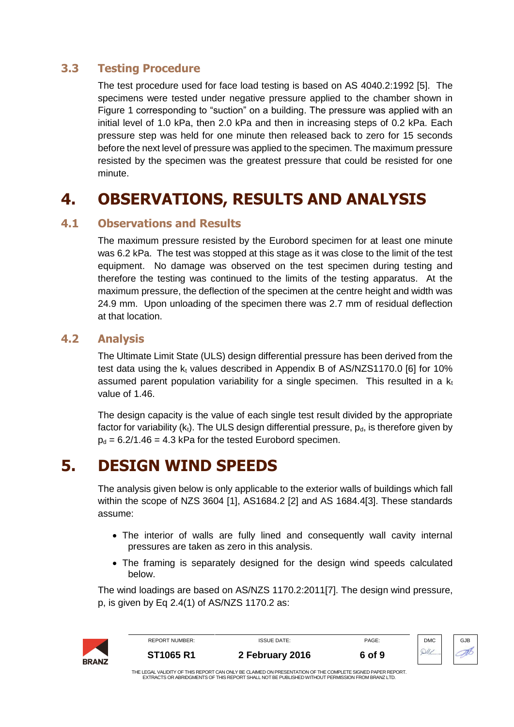#### **3.3 Testing Procedure**

The test procedure used for face load testing is based on AS 4040.2:1992 [5]. The specimens were tested under negative pressure applied to the chamber shown in Figure 1 corresponding to "suction" on a building. The pressure was applied with an initial level of 1.0 kPa, then 2.0 kPa and then in increasing steps of 0.2 kPa. Each pressure step was held for one minute then released back to zero for 15 seconds before the next level of pressure was applied to the specimen. The maximum pressure resisted by the specimen was the greatest pressure that could be resisted for one minute.

## **4. OBSERVATIONS, RESULTS AND ANALYSIS**

#### **4.1 Observations and Results**

The maximum pressure resisted by the Eurobord specimen for at least one minute was 6.2 kPa. The test was stopped at this stage as it was close to the limit of the test equipment. No damage was observed on the test specimen during testing and therefore the testing was continued to the limits of the testing apparatus. At the maximum pressure, the deflection of the specimen at the centre height and width was 24.9 mm. Upon unloading of the specimen there was 2.7 mm of residual deflection at that location.

#### **4.2 Analysis**

The Ultimate Limit State (ULS) design differential pressure has been derived from the test data using the  $k_t$  values described in Appendix B of AS/NZS1170.0 [6] for 10% assumed parent population variability for a single specimen. This resulted in a  $k_t$ value of 1.46.

The design capacity is the value of each single test result divided by the appropriate factor for variability  $(k_t)$ . The ULS design differential pressure,  $p_d$ , is therefore given by  $p_d = 6.2/1.46 = 4.3$  kPa for the tested Eurobord specimen.

## **5. DESIGN WIND SPEEDS**

The analysis given below is only applicable to the exterior walls of buildings which fall within the scope of NZS 3604 [1], AS1684.2 [2] and AS 1684.4[3]. These standards assume:

- The interior of walls are fully lined and consequently wall cavity internal pressures are taken as zero in this analysis.
- The framing is separately designed for the design wind speeds calculated below.

The wind loadings are based on AS/NZS 1170.2:2011[7]. The design wind pressure, p, is given by Eq 2.4(1) of AS/NZS 1170.2 as:

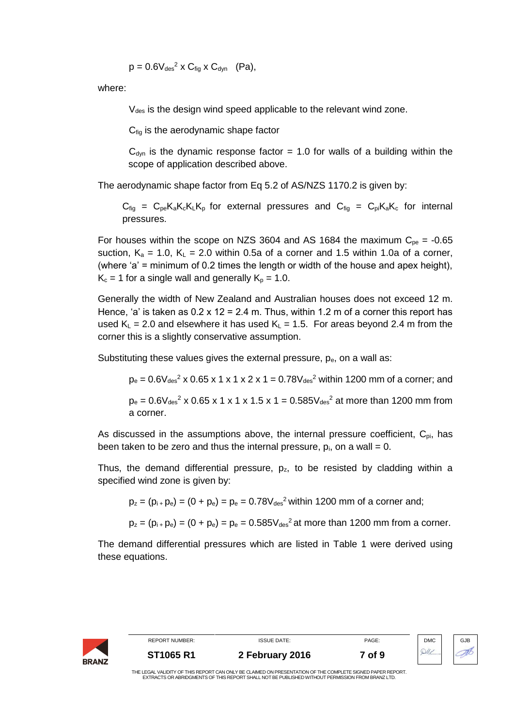$$
p = 0.6V_{des}^2 \times C_{fig} \times C_{dyn} \quad (Pa),
$$

where:

 $V_{des}$  is the design wind speed applicable to the relevant wind zone.

 $C_{\text{fig}}$  is the aerodynamic shape factor

 $C<sub>dyn</sub>$  is the dynamic response factor = 1.0 for walls of a building within the scope of application described above.

The aerodynamic shape factor from Eq 5.2 of AS/NZS 1170.2 is given by:

 $C_{\text{fia}} = C_{\text{pe}}K_{\text{a}}K_{\text{c}}K_{\text{L}}K_{\text{p}}$  for external pressures and  $C_{\text{fia}} = C_{\text{pi}}K_{\text{a}}K_{\text{c}}$  for internal pressures.

For houses within the scope on NZS 3604 and AS 1684 the maximum  $C_{pe} = -0.65$ suction,  $K_a = 1.0$ ,  $K_L = 2.0$  within 0.5a of a corner and 1.5 within 1.0a of a corner, (where 'a' = minimum of 0.2 times the length or width of the house and apex height),  $K_c = 1$  for a single wall and generally  $K_p = 1.0$ .

Generally the width of New Zealand and Australian houses does not exceed 12 m. Hence, 'a' is taken as  $0.2 \times 12 = 2.4$  m. Thus, within 1.2 m of a corner this report has used  $K_L = 2.0$  and elsewhere it has used  $K_L = 1.5$ . For areas beyond 2.4 m from the corner this is a slightly conservative assumption.

Substituting these values gives the external pressure,  $p_e$ , on a wall as:

 $p_e = 0.6V_{des}^2 \times 0.65 \times 1 \times 1 \times 2 \times 1 = 0.78V_{des}^2$  within 1200 mm of a corner; and

 $p_e = 0.6V_{des}^2$  x 0.65 x 1 x 1 x 1.5 x 1 = 0.585 $V_{des}^2$  at more than 1200 mm from a corner.

As discussed in the assumptions above, the internal pressure coefficient,  $C_{pi}$ , has been taken to be zero and thus the internal pressure,  $p_i$ , on a wall = 0.

Thus, the demand differential pressure,  $p<sub>z</sub>$ , to be resisted by cladding within a specified wind zone is given by:

 $p_z = (p_{i+}p_e) = (0 + p_e) = p_e = 0.78V_{des}^2$  within 1200 mm of a corner and;

 $p_z = (p_i + p_e) = (0 + p_e) = p_e = 0.585V_{des}^2$  at more than 1200 mm from a corner.

The demand differential pressures which are listed in [Table 1](#page-7-0) were derived using these equations.

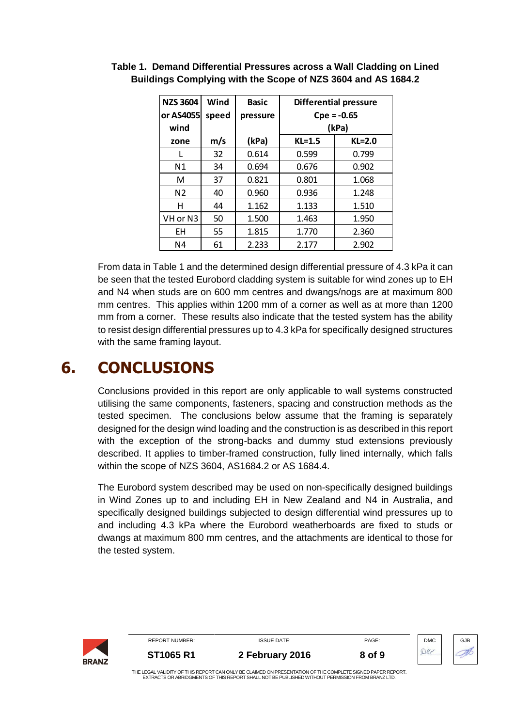| <b>NZS 3604</b><br>or AS4055 | Wind<br>speed | <b>Basic</b><br>pressure | <b>Differential pressure</b><br>$Cpe = -0.65$ |          |
|------------------------------|---------------|--------------------------|-----------------------------------------------|----------|
| wind                         |               |                          | (kPa)                                         |          |
| zone                         | m/s           | (kPa)                    | $KL=1.5$                                      | $KL=2.0$ |
|                              | 32            | 0.614                    | 0.599                                         | 0.799    |
| N <sub>1</sub>               | 34            | 0.694                    | 0.676                                         | 0.902    |
| M                            | 37            | 0.821                    | 0.801                                         | 1.068    |
| N <sub>2</sub>               | 40            | 0.960                    | 0.936                                         | 1.248    |
| н                            | 44            | 1.162                    | 1.133                                         | 1.510    |
| VH or N3                     | 50            | 1.500                    | 1.463                                         | 1.950    |
| ΕH                           | 55            | 1.815                    | 1.770                                         | 2.360    |
| N4                           | 61            | 2.233                    | 2.177                                         | 2.902    |

<span id="page-7-0"></span>**Table 1. Demand Differential Pressures across a Wall Cladding on Lined Buildings Complying with the Scope of NZS 3604 and AS 1684.2**

From data in [Table 1](#page-7-0) and the determined design differential pressure of 4.3 kPa it can be seen that the tested Eurobord cladding system is suitable for wind zones up to EH and N4 when studs are on 600 mm centres and dwangs/nogs are at maximum 800 mm centres. This applies within 1200 mm of a corner as well as at more than 1200 mm from a corner. These results also indicate that the tested system has the ability to resist design differential pressures up to 4.3 kPa for specifically designed structures with the same framing layout.

## **6. CONCLUSIONS**

Conclusions provided in this report are only applicable to wall systems constructed utilising the same components, fasteners, spacing and construction methods as the tested specimen. The conclusions below assume that the framing is separately designed for the design wind loading and the construction is as described in this report with the exception of the strong-backs and dummy stud extensions previously described. It applies to timber-framed construction, fully lined internally, which falls within the scope of NZS 3604, AS1684.2 or AS 1684.4.

The Eurobord system described may be used on non-specifically designed buildings in Wind Zones up to and including EH in New Zealand and N4 in Australia, and specifically designed buildings subjected to design differential wind pressures up to and including 4.3 kPa where the Eurobord weatherboards are fixed to studs or dwangs at maximum 800 mm centres, and the attachments are identical to those for the tested system.

| <b>BRANZ</b> | <b>REPORT NUMBER:</b>                                                                                                                                                                                          | <b>ISSUE DATE:</b> | PAGE:  | <b>DMC</b> | GJB |
|--------------|----------------------------------------------------------------------------------------------------------------------------------------------------------------------------------------------------------------|--------------------|--------|------------|-----|
|              | <b>ST1065 R1</b>                                                                                                                                                                                               | 2 February 2016    | 8 of 9 |            |     |
|              | THE LEGAL VALIDITY OF THIS REPORT CAN ONLY BE CLAIMED ON PRESENTATION OF THE COMPLETE SIGNED PAPER REPORT.<br>EXTRACTS OR ABRIDGMENTS OF THIS REPORT SHALL NOT BE PUBLISHED WITHOUT PERMISSION FROM BRANZ LTD. |                    |        |            |     |